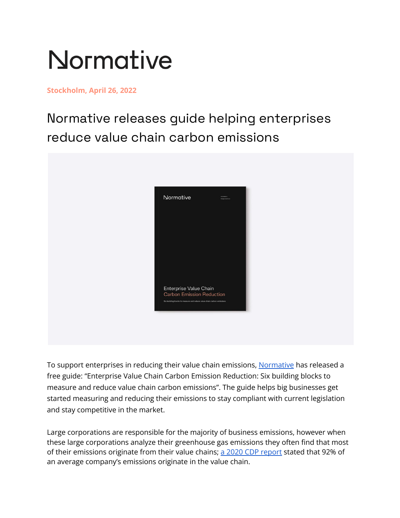## **Normative**

## **Stockholm, April 26, 2022**

Normative releases guide helping enterprises reduce value chain carbon emissions



To support enterprises in reducing their value chain emissions, [Normative](http://normative.io) has released a free guide: "Enterprise Value Chain Carbon Emission Reduction: Six building blocks to measure and reduce value chain carbon emissions". The guide helps big businesses get started measuring and reducing their emissions to stay compliant with current legislation and stay competitive in the market.

Large corporations are responsible for the majority of business emissions, however when these large corporations analyze their greenhouse gas emissions they often find that most of their emissions originate from their value chains; a 2020 CDP [report](https://cdn.cdp.net/cdp-production/cms/reports/documents/000/005/554/original/CDP_SC_Report_2020.pdf?1614160765) stated that 92% of an average company's emissions originate in the value chain.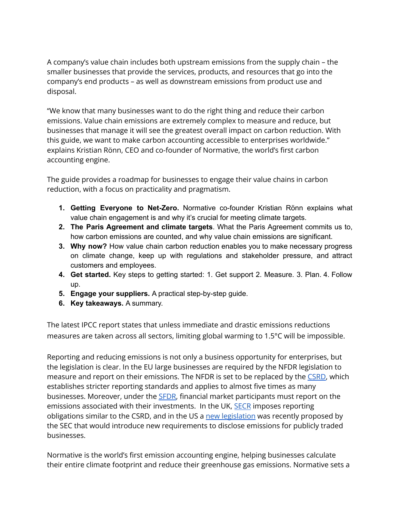A company's value chain includes both upstream emissions from the supply chain – the smaller businesses that provide the services, products, and resources that go into the company's end products – as well as downstream emissions from product use and disposal.

"We know that many businesses want to do the right thing and reduce their carbon emissions. Value chain emissions are extremely complex to measure and reduce, but businesses that manage it will see the greatest overall impact on carbon reduction. With this guide, we want to make carbon accounting accessible to enterprises worldwide." explains Kristian Rönn, CEO and co-founder of Normative, the world's first carbon accounting engine.

The guide provides a roadmap for businesses to engage their value chains in carbon reduction, with a focus on practicality and pragmatism.

- **1. Getting Everyone to Net-Zero.** Normative co-founder Kristian Rönn explains what value chain engagement is and why it's crucial for meeting climate targets.
- **2. The Paris Agreement and climate targets**. What the Paris Agreement commits us to, how carbon emissions are counted, and why value chain emissions are significant.
- **3. Why now?** How value chain carbon reduction enables you to make necessary progress on climate change, keep up with regulations and stakeholder pressure, and attract customers and employees.
- **4. Get started.** Key steps to getting started: 1. Get support 2. Measure. 3. Plan. 4. Follow up.
- **5. Engage your suppliers.** A practical step-by-step guide.
- **6. Key takeaways.** A summary.

The latest IPCC report states that unless immediate and drastic emissions reductions measures are taken across all sectors, limiting global warming to 1.5°C will be impossible.

Reporting and reducing emissions is not only a business opportunity for enterprises, but the legislation is clear. In the EU large businesses are required by the NFDR legislation to measure and report on their emissions. The NFDR is set to be replaced by the [CSRD,](https://normative.io/insight/csrd-explained/) which establishes stricter reporting standards and applies to almost five times as many businesses. Moreover, under the [SFDR,](https://normative.io/insight/sfdr-explained/) financial market participants must report on the emissions associated with their investments. In the UK, **[SECR](https://normative.io/insight/secr-explained/)** imposes reporting obligations similar to the CSRD, and in the US a new [legislation](https://normative.io/insight/sec-proposal/) was recently proposed by the SEC that would introduce new requirements to disclose emissions for publicly traded businesses.

Normative is the world's first emission accounting engine, helping businesses calculate their entire climate footprint and reduce their greenhouse gas emissions. Normative sets a